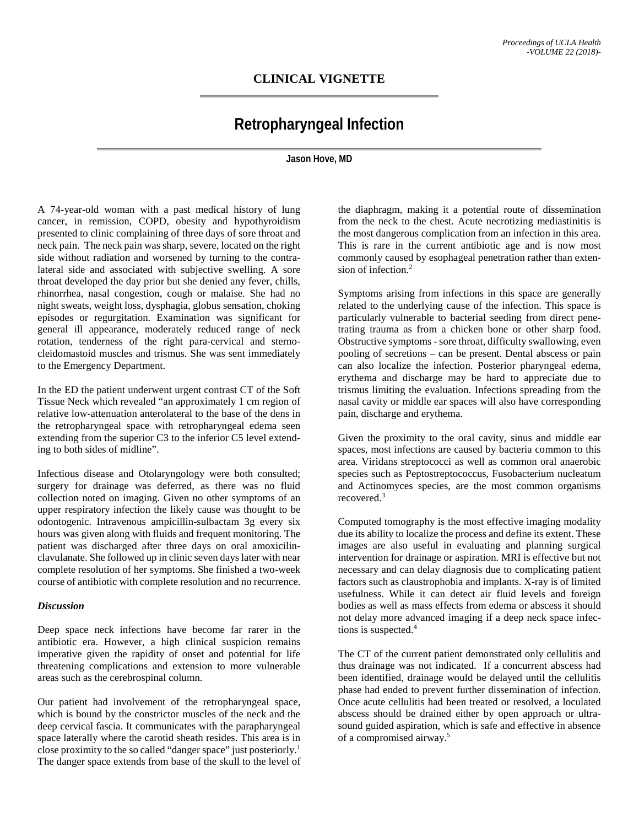## **CLINICAL VIGNETTE**

# **Retropharyngeal Infection**

#### **Jason Hove, MD**

A 74-year-old woman with a past medical history of lung cancer, in remission, COPD, obesity and hypothyroidism presented to clinic complaining of three days of sore throat and neck pain. The neck pain was sharp, severe, located on the right side without radiation and worsened by turning to the contralateral side and associated with subjective swelling. A sore throat developed the day prior but she denied any fever, chills, rhinorrhea, nasal congestion, cough or malaise. She had no night sweats, weight loss, dysphagia, globus sensation, choking episodes or regurgitation. Examination was significant for general ill appearance, moderately reduced range of neck rotation, tenderness of the right para-cervical and sternocleidomastoid muscles and trismus. She was sent immediately to the Emergency Department.

In the ED the patient underwent urgent contrast CT of the Soft Tissue Neck which revealed "an approximately 1 cm region of relative low-attenuation anterolateral to the base of the dens in the retropharyngeal space with retropharyngeal edema seen extending from the superior C3 to the inferior C5 level extending to both sides of midline".

Infectious disease and Otolaryngology were both consulted; surgery for drainage was deferred, as there was no fluid collection noted on imaging. Given no other symptoms of an upper respiratory infection the likely cause was thought to be odontogenic. Intravenous ampicillin-sulbactam 3g every six hours was given along with fluids and frequent monitoring. The patient was discharged after three days on oral amoxicilinclavulanate. She followed up in clinic seven days later with near complete resolution of her symptoms. She finished a two-week course of antibiotic with complete resolution and no recurrence.

#### *Discussion*

Deep space neck infections have become far rarer in the antibiotic era. However, a high clinical suspicion remains imperative given the rapidity of onset and potential for life threatening complications and extension to more vulnerable areas such as the cerebrospinal column.

Our patient had involvement of the retropharyngeal space, which is bound by the constrictor muscles of the neck and the deep cervical fascia. It communicates with the parapharyngeal space laterally where the carotid sheath resides. This area is in close proximity to the so called "danger space" just posteriorly.1 The danger space extends from base of the skull to the level of

the diaphragm, making it a potential route of dissemination from the neck to the chest. Acute necrotizing mediastinitis is the most dangerous complication from an infection in this area. This is rare in the current antibiotic age and is now most commonly caused by esophageal penetration rather than extension of infection.2

Symptoms arising from infections in this space are generally related to the underlying cause of the infection. This space is particularly vulnerable to bacterial seeding from direct penetrating trauma as from a chicken bone or other sharp food. Obstructive symptoms - sore throat, difficulty swallowing, even pooling of secretions – can be present. Dental abscess or pain can also localize the infection. Posterior pharyngeal edema, erythema and discharge may be hard to appreciate due to trismus limiting the evaluation. Infections spreading from the nasal cavity or middle ear spaces will also have corresponding pain, discharge and erythema.

Given the proximity to the oral cavity, sinus and middle ear spaces, most infections are caused by bacteria common to this area. Viridans streptococci as well as common oral anaerobic species such as Peptostreptococcus, Fusobacterium nucleatum and Actinomyces species, are the most common organisms recovered.3

Computed tomography is the most effective imaging modality due its ability to localize the process and define its extent. These images are also useful in evaluating and planning surgical intervention for drainage or aspiration. MRI is effective but not necessary and can delay diagnosis due to complicating patient factors such as claustrophobia and implants. X-ray is of limited usefulness. While it can detect air fluid levels and foreign bodies as well as mass effects from edema or abscess it should not delay more advanced imaging if a deep neck space infections is suspected.<sup>4</sup>

The CT of the current patient demonstrated only cellulitis and thus drainage was not indicated. If a concurrent abscess had been identified, drainage would be delayed until the cellulitis phase had ended to prevent further dissemination of infection. Once acute cellulitis had been treated or resolved, a loculated abscess should be drained either by open approach or ultrasound guided aspiration, which is safe and effective in absence of a compromised airway.5